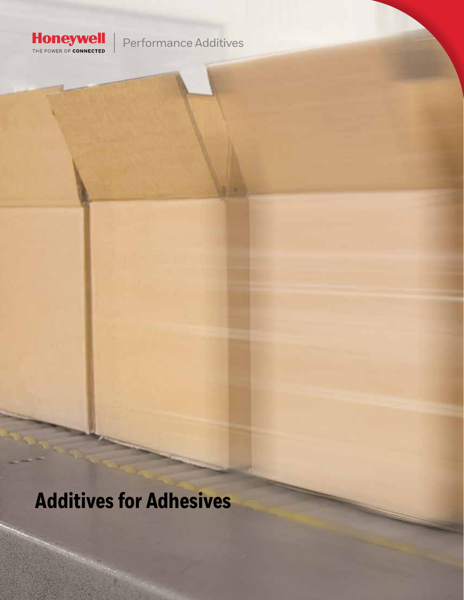

# Performance Additives

**Additives for Adhesives**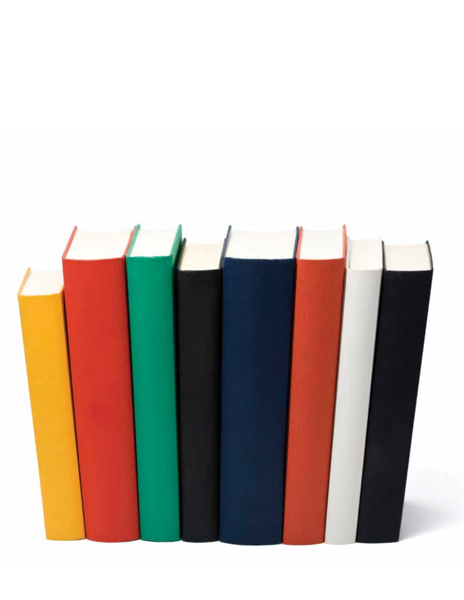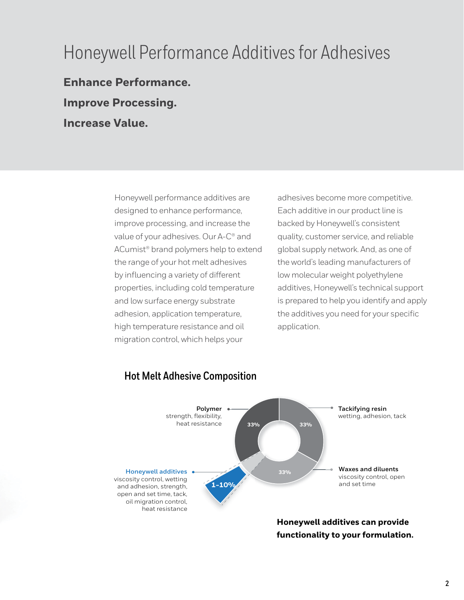# Honeywell Performance Additives for Adhesives

**Enhance Performance. Improve Processing.** 

**Increase Value.**

Honeywell performance additives are designed to enhance performance, improve processing, and increase the value of your adhesives. Our A-C® and ACumist® brand polymers help to extend the range of your hot melt adhesives by influencing a variety of different properties, including cold temperature and low surface energy substrate adhesion, application temperature, high temperature resistance and oil migration control, which helps your

adhesives become more competitive. Each additive in our product line is backed by Honeywell's consistent quality, customer service, and reliable global supply network. And, as one of the world's leading manufacturers of low molecular weight polyethylene additives, Honeywell's technical support is prepared to help you identify and apply the additives you need for your specific application.

**functionality to your formulation.**



**Hot Melt Adhesive Composition**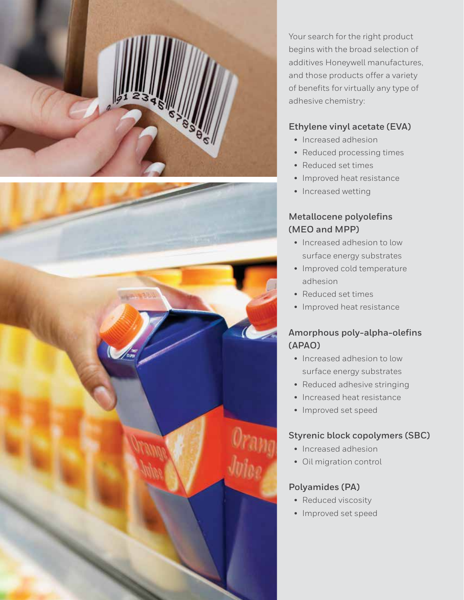

Your search for the right product begins with the broad selection of additives Honeywell manufactures, and those products offer a variety of benefits for virtually any type of adhesive chemistry:

#### **Ethylene vinyl acetate (EVA)**

- Increased adhesion
- Reduced processing times
- Reduced set times
- Improved heat resistance
- Increased wetting

### **Metallocene polyolefins (MEO and MPP)**

- Increased adhesion to low surface energy substrates
- Improved cold temperature adhesion
- Reduced set times
- Improved heat resistance

### **Amorphous poly-alpha-olefins (APAO)**

- Increased adhesion to low surface energy substrates
- Reduced adhesive stringing
- Increased heat resistance
- Improved set speed

#### **Styrenic block copolymers (SBC)**

- Increased adhesion
- Oil migration control

#### **Polyamides (PA)**

- Reduced viscosity
- Improved set speed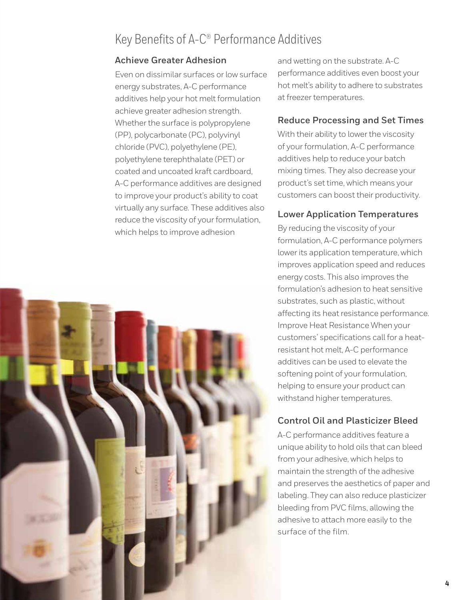# Key Benefits of A-C® Performance Additives

#### **Achieve Greater Adhesion**

Even on dissimilar surfaces or low surface energy substrates, A-C performance additives help your hot melt formulation achieve greater adhesion strength. Whether the surface is polypropylene (PP), polycarbonate (PC), polyvinyl chloride (PVC), polyethylene (PE), polyethylene terephthalate (PET) or coated and uncoated kraft cardboard, A-C performance additives are designed to improve your product's ability to coat virtually any surface. These additives also reduce the viscosity of your formulation, which helps to improve adhesion



and wetting on the substrate. A-C performance additives even boost your hot melt's ability to adhere to substrates at freezer temperatures.

#### **Reduce Processing and Set Times**

With their ability to lower the viscosity of your formulation, A-C performance additives help to reduce your batch mixing times. They also decrease your product's set time, which means your customers can boost their productivity.

#### **Lower Application Temperatures**

By reducing the viscosity of your formulation, A-C performance polymers lower its application temperature, which improves application speed and reduces energy costs. This also improves the formulation's adhesion to heat sensitive substrates, such as plastic, without affecting its heat resistance performance. Improve Heat Resistance When your customers' specifications call for a heatresistant hot melt, A-C performance additives can be used to elevate the softening point of your formulation, helping to ensure your product can withstand higher temperatures.

#### **Control Oil and Plasticizer Bleed**

A-C performance additives feature a unique ability to hold oils that can bleed from your adhesive, which helps to maintain the strength of the adhesive and preserves the aesthetics of paper and labeling. They can also reduce plasticizer bleeding from PVC films, allowing the adhesive to attach more easily to the surface of the film.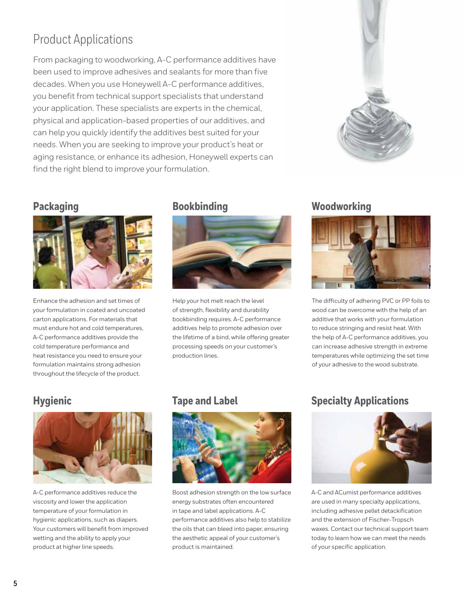# Product Applications

From packaging to woodworking, A-C performance additives have been used to improve adhesives and sealants for more than five decades. When you use Honeywell A-C performance additives, you benefit from technical support specialists that understand your application. These specialists are experts in the chemical, physical and application-based properties of our additives, and can help you quickly identify the additives best suited for your needs. When you are seeking to improve your product's heat or aging resistance, or enhance its adhesion, Honeywell experts can find the right blend to improve your formulation.





Enhance the adhesion and set times of your formulation in coated and uncoated carton applications. For materials that must endure hot and cold temperatures, A-C performance additives provide the cold temperature performance and heat resistance you need to ensure your formulation maintains strong adhesion throughout the lifecycle of the product.

### **Packaging <b>Bookbinding Woodworking**



Help your hot melt reach the level of strength, flexibility and durability bookbinding requires. A-C performance additives help to promote adhesion over the lifetime of a bind, while offering greater processing speeds on your customer's production lines.



The difficulty of adhering PVC or PP foils to wood can be overcome with the help of an additive that works with your formulation to reduce stringing and resist heat. With the help of A-C performance additives, you can increase adhesive strength in extreme temperatures while optimizing the set time of your adhesive to the wood substrate.



A-C performance additives reduce the viscosity and lower the application temperature of your formulation in hygienic applications, such as diapers. Your customers will benefit from improved wetting and the ability to apply your product at higher line speeds.



Boost adhesion strength on the low surface energy substrates often encountered in tape and label applications. A-C performance additives also help to stabilize the oils that can bleed into paper, ensuring the aesthetic appeal of your customer's product is maintained.

# **Hygienic Tape and Label Specialty Applications**



A-C and ACumist performance additives are used in many specialty applications, including adhesive pellet detackification and the extension of Fischer-Tropsch waxes. Contact our technical support team today to learn how we can meet the needs of your specific application.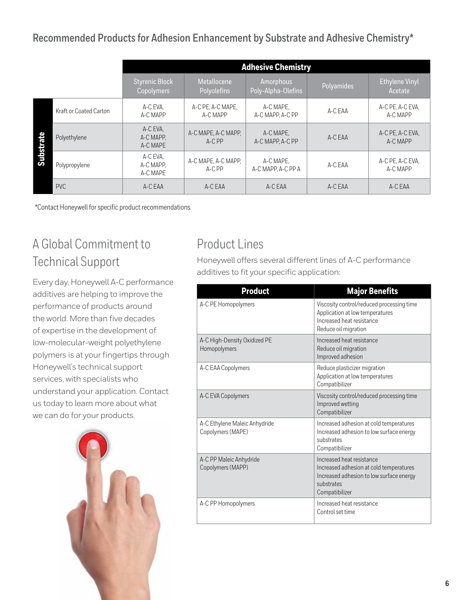## **Recommended Products for Adhesion Enhancement by Substrate and Adhesive Chemistry\***

|                        |                        | <b>Adhesive Chemistry</b>           |                                   |                                 |            |                                  |
|------------------------|------------------------|-------------------------------------|-----------------------------------|---------------------------------|------------|----------------------------------|
|                        |                        | <b>Styrenic Block</b><br>Copolymers | Metallocene<br><b>Polyolefins</b> | Amorphous<br>Poly-Alpha-Olefins | Polyamides | <b>Ethylene Vinyl</b><br>Acetate |
| ್ಕೆ<br><b>Substrat</b> | Kraft or Coated Carton | A-C EVA.<br>A-C MAPP                | A-C PE. A-C MAPE.<br>A-C MAPP     | A-C MAPE.<br>A-C MAPP, A-C PP   | A-C EAA    | A-C PE, A-C EVA,<br>A-C MAPP     |
|                        | Polyethylene           | A-C EVA,<br>A-C MAPP.<br>A-C MAPE   | A-C MAPE, A-C MAPP,<br>$A-CPP$    | A-C MAPE.<br>A-C MAPP, A-C PP   | A-C EAA    | A-C PE, A-C EVA.<br>A-C MAPP     |
|                        | Polypropylene          | A-C EVA.<br>A-C MAPP.<br>A-C MAPE   | A-C MAPE, A-C MAPP,<br>A-C PP     | A-C MAPE.<br>A-C MAPP, A-C PP A | A-C EAA    | A-C PE, A-C EVA,<br>A-C MAPP     |
|                        | <b>PVC</b>             | A-C EAA                             | A-C EAA                           | A-C EAA                         | A-C EAA    | A-C EAA                          |

\*Contact Honeywell for specific product recommendations.

# A Global Commitment to Technical Support

Every day, Honeywell A-C performance additives are helping to improve the performance of products around the world. More than five decades of expertise in the development of low-molecular-weight polyethylene polymers is at your fingertips through Honeywell's technical support services, with specialists who understand your application. Contact us today to learn more about what we can do for your products.



# Product Lines

Honeywell offers several different lines of A-C performance additives to fit your specific application:

| <b>Product</b>                                     | <b>Major Benefits</b>                                                                                                                            |
|----------------------------------------------------|--------------------------------------------------------------------------------------------------------------------------------------------------|
| A-C PE Homopolymers                                | Viscosity control/reduced processing time<br>Application at low temperatures<br>Increased heat resistance<br>Reduce oil migration                |
| A-C High-Density Oxidized PE<br>Homopolymers       | Increased heat resistance<br>Reduce oil migration<br>Improved adhesion                                                                           |
| A-C EAA Copolymers                                 | Reduce plasticizer migration<br>Application at low temperatures<br>Compatibilizer                                                                |
| A-C EVA Copolymers                                 | Viscosity control/reduced processing time<br>Improved wetting<br>Compatibilizer                                                                  |
| A-C Ethylene Maleic Anhydride<br>Copolymers (MAPE) | Increased adhesion at cold temperatures<br>Increased adhesion to low surface energy<br>substrates<br>Compatibilizer                              |
| A-C PP Maleic Anhydride<br>Copolymers (MAPP)       | Increased heat resistance<br>Increased adhesion at cold temperatures<br>Increased adhesion to low surface energy<br>substrates<br>Compatibilizer |
| A-C PP Homopolymers                                | Increased heat resistance<br>Control set time                                                                                                    |